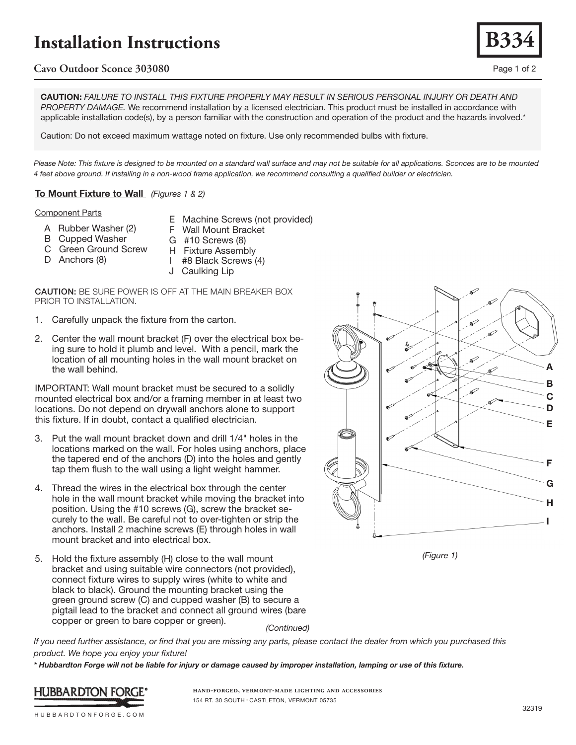# **Installation Instructions**

## **Cavo Outdoor Sconce 303080** Page 1 of 2

CAUTION: *FAILURE TO INSTALL THIS FIXTURE PROPERLY MAY RESULT IN SERIOUS PERSONAL INJURY OR DEATH AND PROPERTY DAMAGE.* We recommend installation by a licensed electrician. This product must be installed in accordance with applicable installation code(s), by a person familiar with the construction and operation of the product and the hazards involved.\*

Caution: Do not exceed maximum wattage noted on fixture. Use only recommended bulbs with fixture.

Please Note: This fixture is designed to be mounted on a standard wall surface and may not be suitable for all applications. Sconces are to be mounted *4 feet above ground. If installing in a non-wood frame application, we recommend consulting a qualified builder or electrician.*

## To Mount Fixture to Wall *(Figures 1 & 2)*

### Component Parts

- A Rubber Washer (2)
- E Machine Screws (not provided) F Wall Mount Bracket
- B Cupped Washer
- C Green Ground Screw
- D Anchors (8)
- H Fixture Assembly I #8 Black Screws (4)
- 

G #10 Screws (8)

J Caulking Lip

CAUTION: BE SURE POWER IS OFF AT THE MAIN BREAKER BOX PRIOR TO INSTALLATION.

- 1. Carefully unpack the fixture from the carton.
- 2. Center the wall mount bracket (F) over the electrical box being sure to hold it plumb and level. With a pencil, mark the location of all mounting holes in the wall mount bracket on the wall behind.

IMPORTANT: Wall mount bracket must be secured to a solidly mounted electrical box and/or a framing member in at least two locations. Do not depend on drywall anchors alone to support this fixture. If in doubt, contact a qualified electrician.

- 3. Put the wall mount bracket down and drill 1/4" holes in the locations marked on the wall. For holes using anchors, place the tapered end of the anchors (D) into the holes and gently tap them flush to the wall using a light weight hammer.
- 4. Thread the wires in the electrical box through the center hole in the wall mount bracket while moving the bracket into position. Using the #10 screws (G), screw the bracket securely to the wall. Be careful not to over-tighten or strip the anchors. Install 2 machine screws (E) through holes in wall mount bracket and into electrical box.
- 5. Hold the fixture assembly (H) close to the wall mount bracket and using suitable wire connectors (not provided), connect fixture wires to supply wires (white to white and black to black). Ground the mounting bracket using the green ground screw (C) and cupped washer (B) to secure a pigtail lead to the bracket and connect all ground wires (bare copper or green to bare copper or green). *(Continued)*

*If you need further assistance, or find that you are missing any parts, please contact the dealer from which you purchased this product. We hope you enjoy your fixture!* 

*\* Hubbardton Forge will not be liable for injury or damage caused by improper installation, lamping or use of this fixture.*



**hand-forged, vermont-made lighting and accessories** 154 RT. 30 SOUTH • CASTLETON, VERMONT 05735





**B334**

HUBBARDTONFORGE.COM